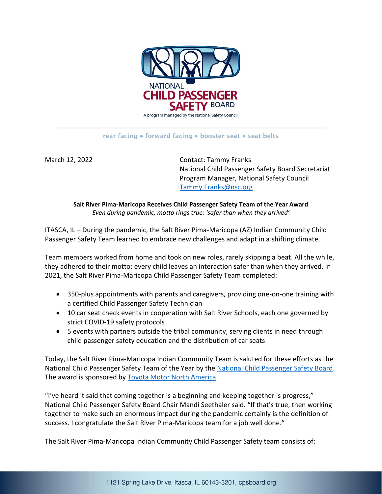

## rear facing • forward facing • booster seat • seat belts

March 12, 2022 **Contact: Tammy Franks** National Child Passenger Safety Board Secretariat Program Manager, National Safety Council [Tammy.Franks@nsc.org](mailto:Tammy.Franks@nsc.org)

**Salt River Pima-Maricopa Receives Child Passenger Safety Team of the Year Award** *Even during pandemic, motto rings true: 'safer than when they arrived'*

ITASCA, IL – During the pandemic, the Salt River Pima-Maricopa (AZ) Indian Community Child Passenger Safety Team learned to embrace new challenges and adapt in a shifting climate.

Team members worked from home and took on new roles, rarely skipping a beat. All the while, they adhered to their motto: every child leaves an interaction safer than when they arrived. In 2021, the Salt River Pima-Maricopa Child Passenger Safety Team completed:

- 350-plus appointments with parents and caregivers, providing one-on-one training with a certified Child Passenger Safety Technician
- 10 car seat check events in cooperation with Salt River Schools, each one governed by strict COVID-19 safety protocols
- 5 events with partners outside the tribal community, serving clients in need through child passenger safety education and the distribution of car seats

Today, the Salt River Pima-Maricopa Indian Community Team is saluted for these efforts as the National Child Passenger Safety Team of the Year by the [National Child Passenger Safety Board.](https://www.cpsboard.org/) The award is sponsored by [Toyota Motor North America.](https://www.toyota.com/usa/)

"I've heard it said that coming together is a beginning and keeping together is progress," National Child Passenger Safety Board Chair Mandi Seethaler said. "If that's true, then working together to make such an enormous impact during the pandemic certainly is the definition of success. I congratulate the Salt River Pima-Maricopa team for a job well done."

The Salt River Pima-Maricopa Indian Community Child Passenger Safety team consists of: